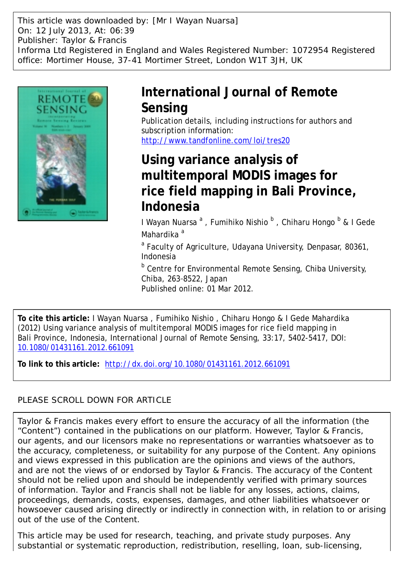This article was downloaded by: [Mr I Wayan Nuarsa] On: 12 July 2013, At: 06:39 Publisher: Taylor & Francis Informa Ltd Registered in England and Wales Registered Number: 1072954 Registered office: Mortimer House, 37-41 Mortimer Street, London W1T 3JH, UK



# **International Journal of Remote Sensing**

Publication details, including instructions for authors and subscription information:

<http://www.tandfonline.com/loi/tres20>

# **Using variance analysis of multitemporal MODIS images for rice field mapping in Bali Province, Indonesia**

I Wayan Nuarsa <sup>a</sup> , Fumihiko Nishio <sup>b</sup> , Chiharu Hongo <sup>b</sup> & I Gede Mahardika<sup>a</sup>

<sup>a</sup> Faculty of Agriculture, Udayana University, Denpasar, 80361, Indonesia

**b** Centre for Environmental Remote Sensing, Chiba University, Chiba, 263‐8522, Japan Published online: 01 Mar 2012.

**To cite this article:** I Wayan Nuarsa , Fumihiko Nishio , Chiharu Hongo & I Gede Mahardika (2012) Using variance analysis of multitemporal MODIS images for rice field mapping in Bali Province, Indonesia, International Journal of Remote Sensing, 33:17, 5402-5417, DOI: [10.1080/01431161.2012.661091](http://www.tandfonline.com/action/showCitFormats?doi=10.1080/01431161.2012.661091)

**To link to this article:** <http://dx.doi.org/10.1080/01431161.2012.661091>

# PLEASE SCROLL DOWN FOR ARTICLE

Taylor & Francis makes every effort to ensure the accuracy of all the information (the "Content") contained in the publications on our platform. However, Taylor & Francis, our agents, and our licensors make no representations or warranties whatsoever as to the accuracy, completeness, or suitability for any purpose of the Content. Any opinions and views expressed in this publication are the opinions and views of the authors, and are not the views of or endorsed by Taylor & Francis. The accuracy of the Content should not be relied upon and should be independently verified with primary sources of information. Taylor and Francis shall not be liable for any losses, actions, claims, proceedings, demands, costs, expenses, damages, and other liabilities whatsoever or howsoever caused arising directly or indirectly in connection with, in relation to or arising out of the use of the Content.

This article may be used for research, teaching, and private study purposes. Any substantial or systematic reproduction, redistribution, reselling, loan, sub-licensing,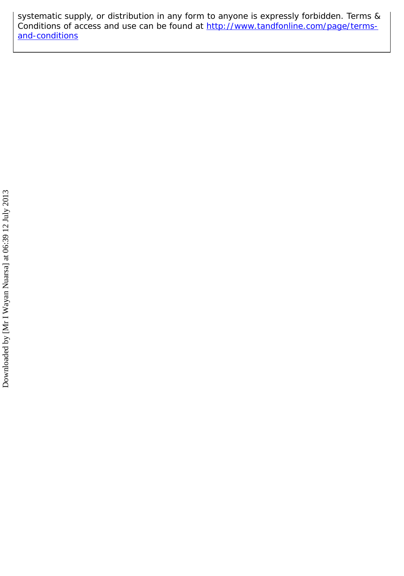systematic supply, or distribution in any form to anyone is expressly forbidden. Terms & Conditions of access and use can be found at [http://www.tandfonline.com/page/terms](http://www.tandfonline.com/page/terms-and-conditions)[and-conditions](http://www.tandfonline.com/page/terms-and-conditions)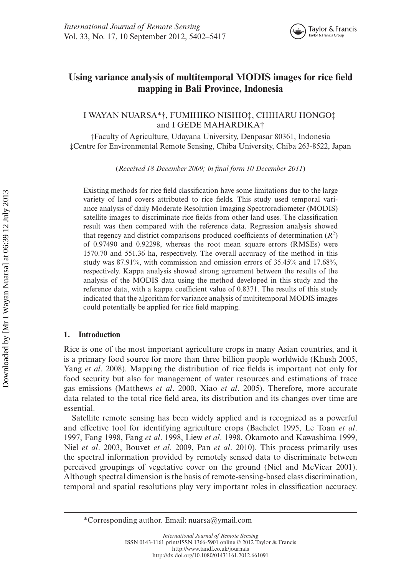

# **Using variance analysis of multitemporal MODIS images for rice field mapping in Bali Province, Indonesia**

## I WAYAN NUARSA\*†, FUMIHIKO NISHIO‡, CHIHARU HONGO‡ and I GEDE MAHARDIKA†

†Faculty of Agriculture, Udayana University, Denpasar 80361, Indonesia ‡Centre for Environmental Remote Sensing, Chiba University, Chiba 263-8522, Japan

(*Received 18 December 2009; in final form 10 December 2011*)

Existing methods for rice field classification have some limitations due to the large variety of land covers attributed to rice fields. This study used temporal variance analysis of daily Moderate Resolution Imaging Spectroradiometer (MODIS) satellite images to discriminate rice fields from other land uses. The classification result was then compared with the reference data. Regression analysis showed that regency and district comparisons produced coefficients of determination (*R*2) of 0.97490 and 0.92298, whereas the root mean square errors (RMSEs) were 1570.70 and 551.36 ha, respectively. The overall accuracy of the method in this study was 87.91%, with commission and omission errors of 35.45% and 17.68%, respectively. Kappa analysis showed strong agreement between the results of the analysis of the MODIS data using the method developed in this study and the reference data, with a kappa coefficient value of 0.8371. The results of this study indicated that the algorithm for variance analysis of multitemporal MODIS images could potentially be applied for rice field mapping.

## **1. Introduction**

Rice is one of the most important agriculture crops in many Asian countries, and it is a primary food source for more than three billion people worldwide (Khush 2005, Yang *et al*. 2008). Mapping the distribution of rice fields is important not only for food security but also for management of water resources and estimations of trace gas emissions (Matthews *et al*. 2000, Xiao *et al*. 2005). Therefore, more accurate data related to the total rice field area, its distribution and its changes over time are essential.

Satellite remote sensing has been widely applied and is recognized as a powerful and effective tool for identifying agriculture crops (Bachelet 1995, Le Toan *et al*. 1997, Fang 1998, Fang *et al*. 1998, Liew *et al*. 1998, Okamoto and Kawashima 1999, Niel *et al*. 2003, Bouvet *et al*. 2009, Pan *et al*. 2010). This process primarily uses the spectral information provided by remotely sensed data to discriminate between perceived groupings of vegetative cover on the ground (Niel and McVicar 2001). Although spectral dimension is the basis of remote-sensing-based class discrimination, temporal and spatial resolutions play very important roles in classification accuracy.

<sup>\*</sup>Corresponding author. Email: [nuarsa@ymail.com](mailto:nuarsa@ymail.com)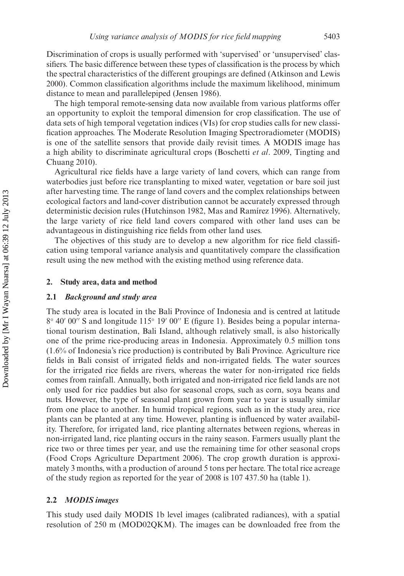Discrimination of crops is usually performed with 'supervised' or 'unsupervised' classifiers. The basic difference between these types of classification is the process by which the spectral characteristics of the different groupings are defined (Atkinson and Lewis 2000). Common classification algorithms include the maximum likelihood, minimum distance to mean and parallelepiped (Jensen 1986).

The high temporal remote-sensing data now available from various platforms offer an opportunity to exploit the temporal dimension for crop classification. The use of data sets of high temporal vegetation indices (VIs) for crop studies calls for new classification approaches. The Moderate Resolution Imaging Spectroradiometer (MODIS) is one of the satellite sensors that provide daily revisit times. A MODIS image has a high ability to discriminate agricultural crops (Boschetti *et al*. 2009, Tingting and Chuang 2010).

Agricultural rice fields have a large variety of land covers, which can range from waterbodies just before rice transplanting to mixed water, vegetation or bare soil just after harvesting time. The range of land covers and the complex relationships between ecological factors and land-cover distribution cannot be accurately expressed through deterministic decision rules (Hutchinson 1982, Mas and Ramírez 1996). Alternatively, the large variety of rice field land covers compared with other land uses can be advantageous in distinguishing rice fields from other land uses.

The objectives of this study are to develop a new algorithm for rice field classification using temporal variance analysis and quantitatively compare the classification result using the new method with the existing method using reference data.

#### **2. Study area, data and method**

#### **2.1** *Background and study area*

The study area is located in the Bali Province of Indonesia and is centred at latitude 8<sup>°</sup> 40′ 00″ S and longitude 115<sup>°</sup> 19′ 00″ E (figure 1). Besides being a popular international tourism destination, Bali Island, although relatively small, is also historically one of the prime rice-producing areas in Indonesia. Approximately 0.5 million tons (1.6% of Indonesia's rice production) is contributed by Bali Province. Agriculture rice fields in Bali consist of irrigated fields and non-irrigated fields. The water sources for the irrigated rice fields are rivers, whereas the water for non-irrigated rice fields comes from rainfall. Annually, both irrigated and non-irrigated rice field lands are not only used for rice paddies but also for seasonal crops, such as corn, soya beans and nuts. However, the type of seasonal plant grown from year to year is usually similar from one place to another. In humid tropical regions, such as in the study area, rice plants can be planted at any time. However, planting is influenced by water availability. Therefore, for irrigated land, rice planting alternates between regions, whereas in non-irrigated land, rice planting occurs in the rainy season. Farmers usually plant the rice two or three times per year, and use the remaining time for other seasonal crops (Food Crops Agriculture Department 2006). The crop growth duration is approximately 3 months, with a production of around 5 tons per hectare. The total rice acreage of the study region as reported for the year of 2008 is 107 437.50 ha (table 1).

#### **2.2** *MODIS images*

This study used daily MODIS 1b level images (calibrated radiances), with a spatial resolution of 250 m (MOD02QKM). The images can be downloaded free from the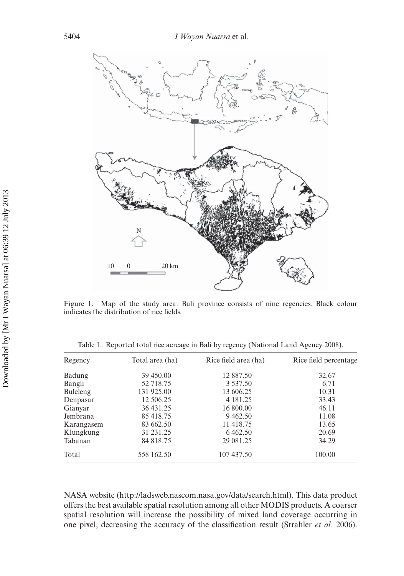

Figure 1. Map of the study area. Bali province consists of nine regencies. Black colour indicates the distribution of rice fields.

| Regency    | Total area (ha) | Rice field area (ha) | Rice field percentage |
|------------|-----------------|----------------------|-----------------------|
| Badung     | 39 450.00       | 12 887.50            | 32.67                 |
| Bangli     | 52 718.75       | 3 5 3 7 .5 0         | 6.71                  |
| Buleleng   | 131 925.00      | 13 606.25            | 10.31                 |
| Denpasar   | 12 506.25       | 4 181.25             | 33.43                 |
| Gianyar    | 36 431.25       | 16 800.00            | 46.11                 |
| Jembrana   | 85418.75        | 9462.50              | 11.08                 |
| Karangasem | 83 662.50       | 11 418.75            | 13.65                 |
| Klungkung  | 31 231.25       | 6462.50              | 20.69                 |
| Tabanan    | 84 818.75       | 29 081.25            | 34.29                 |
| Total      | 558 162.50      | 107 437.50           | 100.00                |

Table 1. Reported total rice acreage in Bali by regency (National Land Agency 2008).

NASA website ([http://ladsweb.nascom.nasa.gov/data/search.html\). Th](http://ladsweb.nascom.nasa.gov/data/search.html)is data product offers the best available spatial resolution among all other MODIS products. A coarser spatial resolution will increase the possibility of mixed land coverage occurring in one pixel, decreasing the accuracy of the classification result (Strahler *et al*. 2006).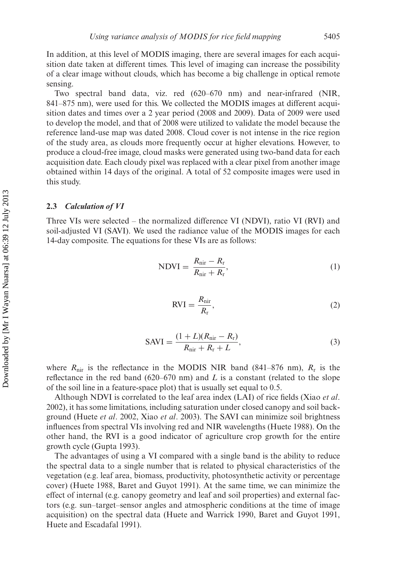In addition, at this level of MODIS imaging, there are several images for each acquisition date taken at different times. This level of imaging can increase the possibility of a clear image without clouds, which has become a big challenge in optical remote sensing.

Two spectral band data, viz. red (620–670 nm) and near-infrared (NIR, 841–875 nm), were used for this. We collected the MODIS images at different acquisition dates and times over a 2 year period (2008 and 2009). Data of 2009 were used to develop the model, and that of 2008 were utilized to validate the model because the reference land-use map was dated 2008. Cloud cover is not intense in the rice region of the study area, as clouds more frequently occur at higher elevations. However, to produce a cloud-free image, cloud masks were generated using two-band data for each acquisition date. Each cloudy pixel was replaced with a clear pixel from another image obtained within 14 days of the original. A total of 52 composite images were used in this study.

#### **2.3** *Calculation of VI*

Three VIs were selected – the normalized difference VI (NDVI), ratio VI (RVI) and soil-adjusted VI (SAVI). We used the radiance value of the MODIS images for each 14-day composite. The equations for these VIs are as follows:

$$
NDVI = \frac{R_{\text{nir}} - R_{\text{r}}}{R_{\text{nir}} + R_{\text{r}}},\tag{1}
$$

$$
RVI = \frac{R_{\text{nir}}}{R_{\text{r}}},\tag{2}
$$

$$
SAVI = \frac{(1+L)(R_{\text{nir}} - R_{\text{r}})}{R_{\text{nir}} + R_{\text{r}} + L},
$$
\n(3)

where  $R_{\text{nir}}$  is the reflectance in the MODIS NIR band (841–876 nm),  $R_r$  is the reflectance in the red band  $(620-670 \text{ nm})$  and *L* is a constant (related to the slope of the soil line in a feature-space plot) that is usually set equal to 0.5.

Although NDVI is correlated to the leaf area index (LAI) of rice fields (Xiao *et al*. 2002), it has some limitations, including saturation under closed canopy and soil background (Huete *et al*. 2002, Xiao *et al*. 2003). The SAVI can minimize soil brightness influences from spectral VIs involving red and NIR wavelengths (Huete 1988). On the other hand, the RVI is a good indicator of agriculture crop growth for the entire growth cycle (Gupta 1993).

The advantages of using a VI compared with a single band is the ability to reduce the spectral data to a single number that is related to physical characteristics of the vegetation (e.g. leaf area, biomass, productivity, photosynthetic activity or percentage cover) (Huete 1988, Baret and Guyot 1991). At the same time, we can minimize the effect of internal (e.g. canopy geometry and leaf and soil properties) and external factors (e.g. sun–target–sensor angles and atmospheric conditions at the time of image acquisition) on the spectral data (Huete and Warrick 1990, Baret and Guyot 1991, Huete and Escadafal 1991).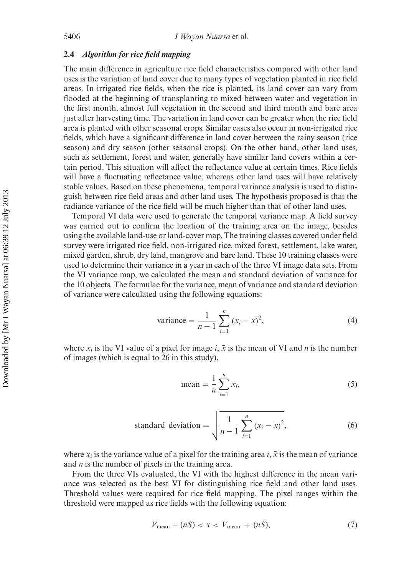### **2.4** *Algorithm for rice field mapping*

The main difference in agriculture rice field characteristics compared with other land uses is the variation of land cover due to many types of vegetation planted in rice field areas. In irrigated rice fields, when the rice is planted, its land cover can vary from flooded at the beginning of transplanting to mixed between water and vegetation in the first month, almost full vegetation in the second and third month and bare area just after harvesting time. The variation in land cover can be greater when the rice field area is planted with other seasonal crops. Similar cases also occur in non-irrigated rice fields, which have a significant difference in land cover between the rainy season (rice season) and dry season (other seasonal crops). On the other hand, other land uses, such as settlement, forest and water, generally have similar land covers within a certain period. This situation will affect the reflectance value at certain times. Rice fields will have a fluctuating reflectance value, whereas other land uses will have relatively stable values. Based on these phenomena, temporal variance analysis is used to distinguish between rice field areas and other land uses. The hypothesis proposed is that the radiance variance of the rice field will be much higher than that of other land uses.

Temporal VI data were used to generate the temporal variance map. A field survey was carried out to confirm the location of the training area on the image, besides using the available land-use or land-cover map. The training classes covered under field survey were irrigated rice field, non-irrigated rice, mixed forest, settlement, lake water, mixed garden, shrub, dry land, mangrove and bare land. These 10 training classes were used to determine their variance in a year in each of the three VI image data sets. From the VI variance map, we calculated the mean and standard deviation of variance for the 10 objects. The formulae for the variance, mean of variance and standard deviation of variance were calculated using the following equations:

variance = 
$$
\frac{1}{n-1} \sum_{i=1}^{n} (x_i - \overline{x})^2
$$
, (4)

where  $x_i$  is the VI value of a pixel for image *i*,  $\bar{x}$  is the mean of VI and *n* is the number of images (which is equal to 26 in this study),

$$
\text{mean} = \frac{1}{n} \sum_{i=1}^{n} x_i,\tag{5}
$$

standard deviation 
$$
=\sqrt{\frac{1}{n-1}\sum_{i=1}^{n}(x_i - \overline{x})^2}
$$
, (6)

where  $x_i$  is the variance value of a pixel for the training area *i*,  $\bar{x}$  is the mean of variance and *n* is the number of pixels in the training area.

From the three VIs evaluated, the VI with the highest difference in the mean variance was selected as the best VI for distinguishing rice field and other land uses. Threshold values were required for rice field mapping. The pixel ranges within the threshold were mapped as rice fields with the following equation:

$$
V_{\text{mean}} - (nS) < x < V_{\text{mean}} + (nS),\tag{7}
$$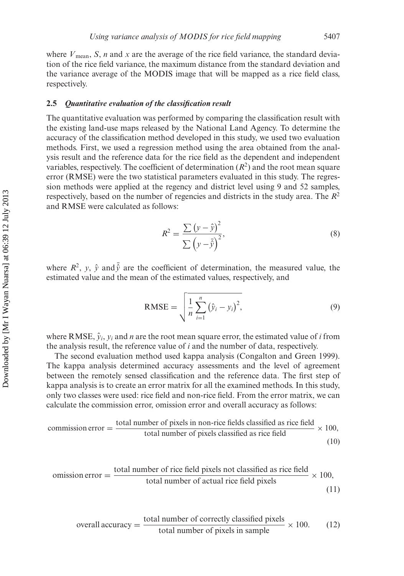where  $V_{\text{mean}}$ , *S*, *n* and *x* are the average of the rice field variance, the standard deviation of the rice field variance, the maximum distance from the standard deviation and the variance average of the MODIS image that will be mapped as a rice field class, respectively.

#### **2.5** *Quantitative evaluation of the classification result*

The quantitative evaluation was performed by comparing the classification result with the existing land-use maps released by the National Land Agency. To determine the accuracy of the classification method developed in this study, we used two evaluation methods. First, we used a regression method using the area obtained from the analysis result and the reference data for the rice field as the dependent and independent variables, respectively. The coefficient of determination  $(R^2)$  and the root mean square error (RMSE) were the two statistical parameters evaluated in this study. The regression methods were applied at the regency and district level using 9 and 52 samples, respectively, based on the number of regencies and districts in the study area. The *R*<sup>2</sup> and RMSE were calculated as follows:

$$
R^{2} = \frac{\sum (y - \hat{y})^{2}}{\sum (y - \bar{\hat{y}})^{2}},
$$
\n(8)

where  $R^2$ , *y*,  $\hat{y}$  and  $\hat{y}$  are the coefficient of determination, the measured value, the estimated value and the mean of the estimated values, respectively, and

RMSE = 
$$
\sqrt{\frac{1}{n} \sum_{i=1}^{n} (\hat{y}_i - y_i)^2},
$$
 (9)

where RMSE,  $\hat{y}_i$ ,  $y_i$  and *n* are the root mean square error, the estimated value of *i* from the analysis result, the reference value of *i* and the number of data, respectively.

The second evaluation method used kappa analysis (Congalton and Green 1999). The kappa analysis determined accuracy assessments and the level of agreement between the remotely sensed classification and the reference data. The first step of kappa analysis is to create an error matrix for all the examined methods. In this study, only two classes were used: rice field and non-rice field. From the error matrix, we can calculate the commission error, omission error and overall accuracy as follows:

$$
Commission error = \frac{total number of pixels in non-rice fields classified as rice field}{total number of pixels classified as rice field} \times 100,
$$
\n(10)

omission error = 
$$
\frac{\text{total number of rice field pixels not classified as rice field}}{\text{total number of actual rice field pixels}} \times 100,
$$
 (11)

overall accuracy = 
$$
\frac{\text{total number of correctly classified pixels}}{\text{total number of pixels in sample}} \times 100.
$$

\n(12)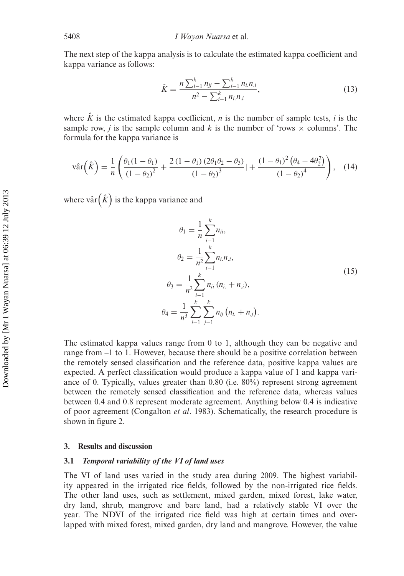The next step of the kappa analysis is to calculate the estimated kappa coefficient and kappa variance as follows:

$$
\hat{K} = \frac{n \sum_{i=1}^{k} n_{ij} - \sum_{i=1}^{k} n_{i} n_{i}}{n^{2} - \sum_{i=1}^{k} n_{i} n_{i}},
$$
\n(13)

where  $\hat{K}$  is the estimated kappa coefficient, *n* is the number of sample tests, *i* is the sample row, *j* is the sample column and *k* is the number of 'rows  $\times$  columns'. The formula for the kappa variance is

$$
\text{var}\left(\hat{K}\right) = \frac{1}{n} \left( \frac{\theta_1 (1 - \theta_1)}{(1 - \theta_2)^2} + \frac{2 \left(1 - \theta_1\right) \left(2 \theta_1 \theta_2 - \theta_3\right)}{\left(1 - \theta_2\right)^3} \Big| + \frac{\left(1 - \theta_1\right)^2 \left(\theta_4 - 4 \theta_2^2\right)}{\left(1 - \theta_2\right)^4} \right), \quad (14)
$$

where  $\text{var}(\hat{K})$  is the kappa variance and

$$
\theta_1 = \frac{1}{n} \sum_{i=1}^k n_{ii},
$$
  
\n
$$
\theta_2 = \frac{1}{n^2} \sum_{i=1}^k n_{i} n_{i},
$$
  
\n
$$
\theta_3 = \frac{1}{n^2} \sum_{i=1}^k n_{ii} (n_{i} + n_{i}),
$$
  
\n
$$
\theta_4 = \frac{1}{n^3} \sum_{i=1}^k \sum_{j=1}^k n_{ij} (n_{i} + n_{j}).
$$
\n(15)

The estimated kappa values range from 0 to 1, although they can be negative and range from –1 to 1. However, because there should be a positive correlation between the remotely sensed classification and the reference data, positive kappa values are expected. A perfect classification would produce a kappa value of 1 and kappa variance of 0. Typically, values greater than 0.80 (i.e. 80%) represent strong agreement between the remotely sensed classification and the reference data, whereas values between 0.4 and 0.8 represent moderate agreement. Anything below 0.4 is indicative of poor agreement (Congalton *et al*. 1983). Schematically, the research procedure is shown in figure 2.

#### **3. Results and discussion**

#### **3.1** *Temporal variability of the VI of land uses*

The VI of land uses varied in the study area during 2009. The highest variability appeared in the irrigated rice fields, followed by the non-irrigated rice fields. The other land uses, such as settlement, mixed garden, mixed forest, lake water, dry land, shrub, mangrove and bare land, had a relatively stable VI over the year. The NDVI of the irrigated rice field was high at certain times and overlapped with mixed forest, mixed garden, dry land and mangrove. However, the value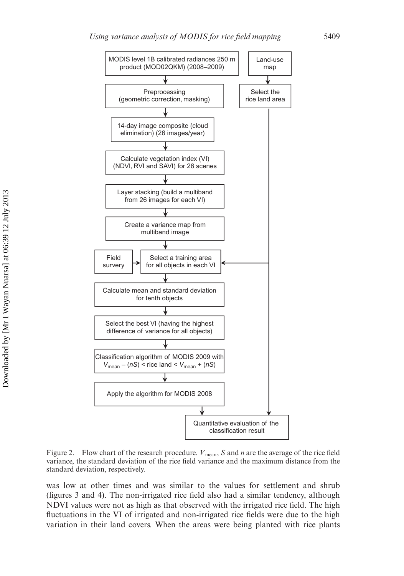

Figure 2. Flow chart of the research procedure.  $V_{\text{mean}}$ , *S* and *n* are the average of the rice field variance, the standard deviation of the rice field variance and the maximum distance from the standard deviation, respectively.

was low at other times and was similar to the values for settlement and shrub (figures 3 and 4). The non-irrigated rice field also had a similar tendency, although NDVI values were not as high as that observed with the irrigated rice field. The high fluctuations in the VI of irrigated and non-irrigated rice fields were due to the high variation in their land covers. When the areas were being planted with rice plants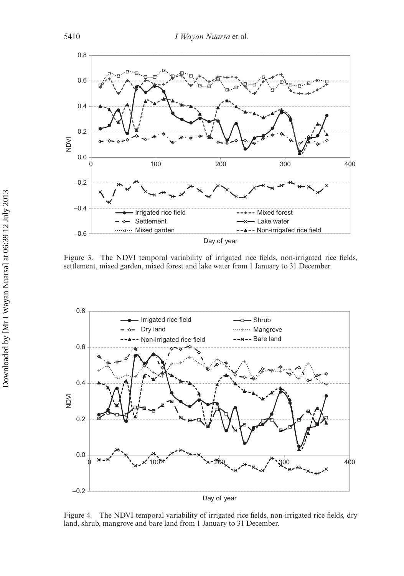

Figure 3. The NDVI temporal variability of irrigated rice fields, non-irrigated rice fields, settlement, mixed garden, mixed forest and lake water from 1 January to 31 December.



Figure 4. The NDVI temporal variability of irrigated rice fields, non-irrigated rice fields, dry land, shrub, mangrove and bare land from 1 January to 31 December.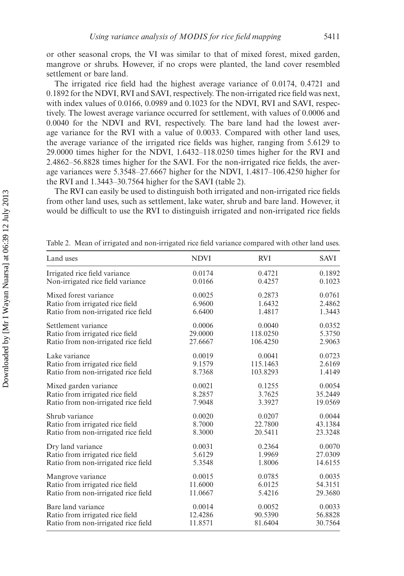or other seasonal crops, the VI was similar to that of mixed forest, mixed garden, mangrove or shrubs. However, if no crops were planted, the land cover resembled settlement or bare land.

The irrigated rice field had the highest average variance of 0.0174, 0.4721 and 0.1892 for the NDVI, RVI and SAVI, respectively. The non-irrigated rice field was next, with index values of 0.0166, 0.0989 and 0.1023 for the NDVI, RVI and SAVI, respectively. The lowest average variance occurred for settlement, with values of 0.0006 and 0.0040 for the NDVI and RVI, respectively. The bare land had the lowest average variance for the RVI with a value of 0.0033. Compared with other land uses, the average variance of the irrigated rice fields was higher, ranging from 5.6129 to 29.0000 times higher for the NDVI, 1.6432–118.0250 times higher for the RVI and 2.4862–56.8828 times higher for the SAVI. For the non-irrigated rice fields, the average variances were 5.3548–27.6667 higher for the NDVI, 1.4817–106.4250 higher for the RVI and 1.3443–30.7564 higher for the SAVI (table 2).

The RVI can easily be used to distinguish both irrigated and non-irrigated rice fields from other land uses, such as settlement, lake water, shrub and bare land. However, it would be difficult to use the RVI to distinguish irrigated and non-irrigated rice fields

| Land uses                           | <b>NDVI</b> | <b>RVI</b> | <b>SAVI</b> |
|-------------------------------------|-------------|------------|-------------|
| Irrigated rice field variance       | 0.0174      | 0.4721     | 0.1892      |
| Non-irrigated rice field variance   | 0.0166      | 0.4257     | 0.1023      |
| Mixed forest variance               | 0.0025      | 0.2873     | 0.0761      |
| Ratio from irrigated rice field     | 6.9600      | 1.6432     | 2.4862      |
| Ratio from non-irrigated rice field | 6.6400      | 1.4817     | 1.3443      |
| Settlement variance                 | 0.0006      | 0.0040     | 0.0352      |
| Ratio from irrigated rice field     | 29.0000     | 118.0250   | 5.3750      |
| Ratio from non-irrigated rice field | 27.6667     | 106.4250   | 2.9063      |
| Lake variance                       | 0.0019      | 0.0041     | 0.0723      |
| Ratio from irrigated rice field     | 9.1579      | 115.1463   | 2.6169      |
| Ratio from non-irrigated rice field | 8.7368      | 103.8293   | 1.4149      |
| Mixed garden variance               | 0.0021      | 0.1255     | 0.0054      |
| Ratio from irrigated rice field     | 8.2857      | 3.7625     | 35.2449     |
| Ratio from non-irrigated rice field | 7.9048      | 3.3927     | 19.0569     |
| Shrub variance                      | 0.0020      | 0.0207     | 0.0044      |
| Ratio from irrigated rice field     | 8.7000      | 22.7800    | 43.1384     |
| Ratio from non-irrigated rice field | 8.3000      | 20.5411    | 23.3248     |
| Dry land variance                   | 0.0031      | 0.2364     | 0.0070      |
| Ratio from irrigated rice field     | 5.6129      | 1.9969     | 27.0309     |
| Ratio from non-irrigated rice field | 5.3548      | 1.8006     | 14.6155     |
| Mangrove variance                   | 0.0015      | 0.0785     | 0.0035      |
| Ratio from irrigated rice field     | 11.6000     | 6.0125     | 54.3151     |
| Ratio from non-irrigated rice field | 11.0667     | 5.4216     | 29.3680     |
| Bare land variance                  | 0.0014      | 0.0052     | 0.0033      |
| Ratio from irrigated rice field     | 12.4286     | 90.5390    | 56.8828     |
| Ratio from non-irrigated rice field | 11.8571     | 81.6404    | 30.7564     |

Table 2. Mean of irrigated and non-irrigated rice field variance compared with other land uses.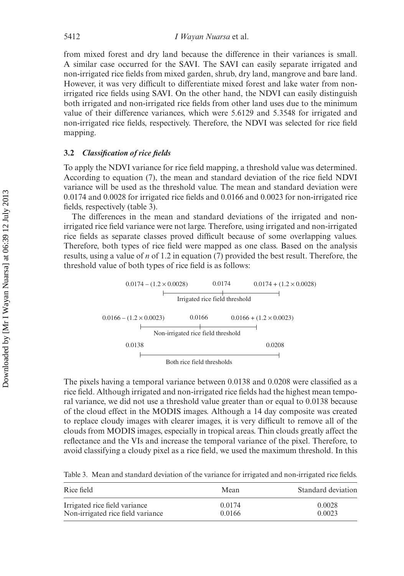from mixed forest and dry land because the difference in their variances is small. A similar case occurred for the SAVI. The SAVI can easily separate irrigated and non-irrigated rice fields from mixed garden, shrub, dry land, mangrove and bare land. However, it was very difficult to differentiate mixed forest and lake water from nonirrigated rice fields using SAVI. On the other hand, the NDVI can easily distinguish both irrigated and non-irrigated rice fields from other land uses due to the minimum value of their difference variances, which were 5.6129 and 5.3548 for irrigated and non-irrigated rice fields, respectively. Therefore, the NDVI was selected for rice field mapping.

## **3.2** *Classification of rice fields*

To apply the NDVI variance for rice field mapping, a threshold value was determined. According to equation (7), the mean and standard deviation of the rice field NDVI variance will be used as the threshold value. The mean and standard deviation were 0.0174 and 0.0028 for irrigated rice fields and 0.0166 and 0.0023 for non-irrigated rice fields, respectively (table 3).

The differences in the mean and standard deviations of the irrigated and nonirrigated rice field variance were not large. Therefore, using irrigated and non-irrigated rice fields as separate classes proved difficult because of some overlapping values. Therefore, both types of rice field were mapped as one class. Based on the analysis results, using a value of *n* of 1.2 in equation (7) provided the best result. Therefore, the threshold value of both types of rice field is as follows:



The pixels having a temporal variance between 0.0138 and 0.0208 were classified as a rice field. Although irrigated and non-irrigated rice fields had the highest mean temporal variance, we did not use a threshold value greater than or equal to 0.0138 because of the cloud effect in the MODIS images. Although a 14 day composite was created to replace cloudy images with clearer images, it is very difficult to remove all of the clouds from MODIS images, especially in tropical areas. Thin clouds greatly affect the reflectance and the VIs and increase the temporal variance of the pixel. Therefore, to avoid classifying a cloudy pixel as a rice field, we used the maximum threshold. In this

Table 3. Mean and standard deviation of the variance for irrigated and non-irrigated rice fields.

| Rice field                        | Mean   | Standard deviation |
|-----------------------------------|--------|--------------------|
| Irrigated rice field variance     | 0.0174 | 0.0028             |
| Non-irrigated rice field variance | 0.0166 | 0.0023             |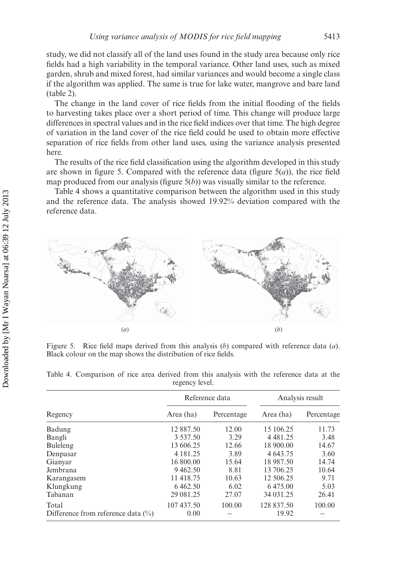study, we did not classify all of the land uses found in the study area because only rice fields had a high variability in the temporal variance. Other land uses, such as mixed garden, shrub and mixed forest, had similar variances and would become a single class if the algorithm was applied. The same is true for lake water, mangrove and bare land (table 2).

The change in the land cover of rice fields from the initial flooding of the fields to harvesting takes place over a short period of time. This change will produce large differences in spectral values and in the rice field indices over that time. The high degree of variation in the land cover of the rice field could be used to obtain more effective separation of rice fields from other land uses, using the variance analysis presented here.

The results of the rice field classification using the algorithm developed in this study are shown in figure 5. Compared with the reference data (figure  $5(a)$ ), the rice field map produced from our analysis (figure 5(*b*)) was visually similar to the reference.

Table 4 shows a quantitative comparison between the algorithm used in this study and the reference data. The analysis showed 19.92% deviation compared with the reference data.



Figure 5. Rice field maps derived from this analysis (*b*) compared with reference data (*a*). Black colour on the map shows the distribution of rice fields.

|                                       | Reference data |            | Analysis result |            |
|---------------------------------------|----------------|------------|-----------------|------------|
| Regency                               | Area (ha)      | Percentage | Area (ha)       | Percentage |
| Badung                                | 12 887.50      | 12.00      | 15 106.25       | 11.73      |
| Bangli                                | 3 5 3 7 .5 0   | 3.29       | 4 4 8 1 . 2 5   | 3.48       |
| Buleleng                              | 13 606.25      | 12.66      | 18 900.00       | 14.67      |
| Denpasar                              | 4 181.25       | 3.89       | 4 643.75        | 3.60       |
| Gianyar                               | 16 800.00      | 15.64      | 18 987.50       | 14.74      |
| Jembrana                              | 9462.50        | 8.81       | 13 706.25       | 10.64      |
| Karangasem                            | 11 418.75      | 10.63      | 12 506.25       | 9.71       |
| Klungkung                             | 6462.50        | 6.02       | 6475.00         | 5.03       |
| Tabanan                               | 29 081.25      | 27.07      | 34 031.25       | 26.41      |
| Total                                 | 107 437.50     | 100.00     | 128 837.50      | 100.00     |
| Difference from reference data $(\%)$ | 0.00           |            | 19.92           |            |

Table 4. Comparison of rice area derived from this analysis with the reference data at the regency level.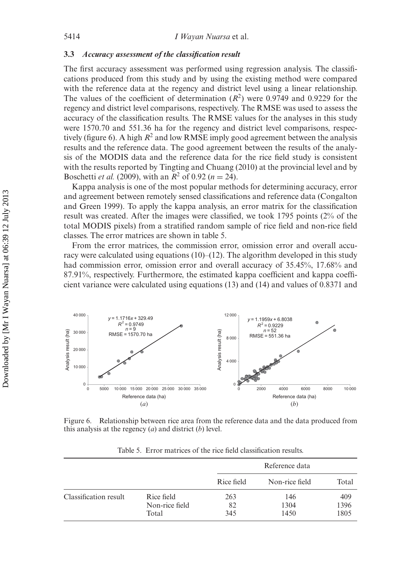#### **3.3** *Accuracy assessment of the classification result*

The first accuracy assessment was performed using regression analysis. The classifications produced from this study and by using the existing method were compared with the reference data at the regency and district level using a linear relationship. The values of the coefficient of determination  $(R^2)$  were 0.9749 and 0.9229 for the regency and district level comparisons, respectively. The RMSE was used to assess the accuracy of the classification results. The RMSE values for the analyses in this study were 1570.70 and 551.36 ha for the regency and district level comparisons, respectively (figure 6). A high  $R^2$  and low RMSE imply good agreement between the analysis results and the reference data. The good agreement between the results of the analysis of the MODIS data and the reference data for the rice field study is consistent with the results reported by Tingting and Chuang (2010) at the provincial level and by Boschetti *et al.* (2009), with an  $R^2$  of 0.92 ( $n = 24$ ).

Kappa analysis is one of the most popular methods for determining accuracy, error and agreement between remotely sensed classifications and reference data (Congalton and Green 1999). To apply the kappa analysis, an error matrix for the classification result was created. After the images were classified, we took 1795 points (2% of the total MODIS pixels) from a stratified random sample of rice field and non-rice field classes. The error matrices are shown in table 5.

From the error matrices, the commission error, omission error and overall accuracy were calculated using equations  $(10)$ – $(12)$ . The algorithm developed in this study had commission error, omission error and overall accuracy of 35.45%, 17.68% and 87.91%, respectively. Furthermore, the estimated kappa coefficient and kappa coefficient variance were calculated using equations (13) and (14) and values of 0.8371 and



Figure 6. Relationship between rice area from the reference data and the data produced from this analysis at the regency (*a*) and district (*b*) level.

|                       |                                       | Reference data   |                     |                     |
|-----------------------|---------------------------------------|------------------|---------------------|---------------------|
|                       |                                       | Rice field       | Non-rice field      | Total               |
| Classification result | Rice field<br>Non-rice field<br>Total | 263<br>82<br>345 | 146<br>1304<br>1450 | 409<br>1396<br>1805 |

Table 5. Error matrices of the rice field classification results.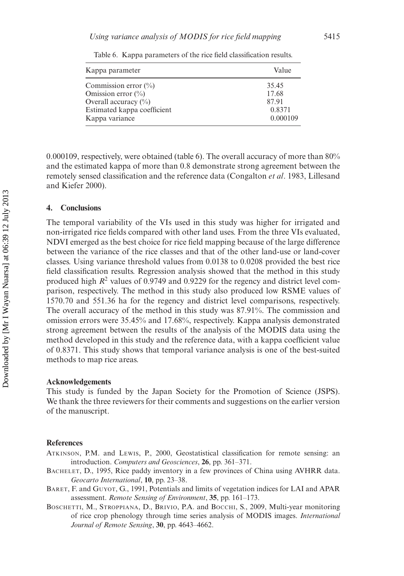| Kappa parameter             | Value    |  |
|-----------------------------|----------|--|
| Commission error $(\%)$     | 35.45    |  |
| Omission error $(\% )$      | 17.68    |  |
| Overall accuracy $(\%)$     | 87.91    |  |
| Estimated kappa coefficient | 0.8371   |  |
| Kappa variance              | 0.000109 |  |

Table 6. Kappa parameters of the rice field classification results.

0.000109, respectively, were obtained (table 6). The overall accuracy of more than 80% and the estimated kappa of more than 0.8 demonstrate strong agreement between the remotely sensed classification and the reference data (Congalton *et al*. 1983, Lillesand and Kiefer 2000).

#### **4. Conclusions**

The temporal variability of the VIs used in this study was higher for irrigated and non-irrigated rice fields compared with other land uses. From the three VIs evaluated, NDVI emerged as the best choice for rice field mapping because of the large difference between the variance of the rice classes and that of the other land-use or land-cover classes. Using variance threshold values from 0.0138 to 0.0208 provided the best rice field classification results. Regression analysis showed that the method in this study produced high  $R^2$  values of 0.9749 and 0.9229 for the regency and district level comparison, respectively. The method in this study also produced low RSME values of 1570.70 and 551.36 ha for the regency and district level comparisons, respectively. The overall accuracy of the method in this study was 87.91%. The commission and omission errors were 35.45% and 17.68%, respectively. Kappa analysis demonstrated strong agreement between the results of the analysis of the MODIS data using the method developed in this study and the reference data, with a kappa coefficient value of 0.8371. This study shows that temporal variance analysis is one of the best-suited methods to map rice areas.

#### **Acknowledgements**

This study is funded by the Japan Society for the Promotion of Science (JSPS). We thank the three reviewers for their comments and suggestions on the earlier version of the manuscript.

#### **References**

- ATKINSON, P.M. and LEWIS, P., 2000, Geostatistical classification for remote sensing: an introduction. *Computers and Geosciences*, **26**, pp. 361–371.
- BACHELET, D., 1995, Rice paddy inventory in a few provinces of China using AVHRR data. *Geocarto International*, **10**, pp. 23–38.
- BARET, F. and GUYOT, G., 1991, Potentials and limits of vegetation indices for LAI and APAR assessment. *Remote Sensing of Environment*, **35**, pp. 161–173.
- BOSCHETTI, M., STROPPIANA, D., BRIVIO, P.A. and BOCCHI, S., 2009, Multi-year monitoring of rice crop phenology through time series analysis of MODIS images. *International Journal of Remote Sensing*, **30**, pp. 4643–4662.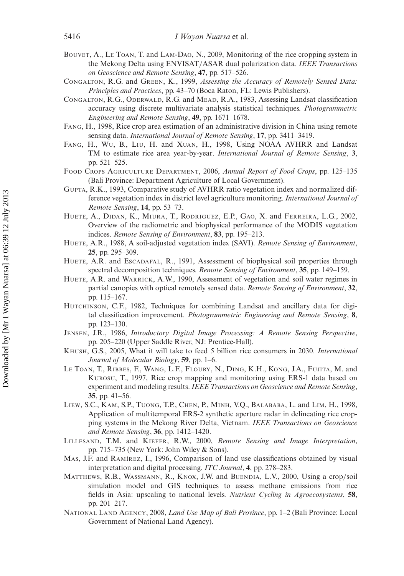- BOUVET, A., LE TOAN, T. and LAM-DAO, N., 2009, Monitoring of the rice cropping system in the Mekong Delta using ENVISAT/ASAR dual polarization data. *IEEE Transactions on Geoscience and Remote Sensing*, **47**, pp. 517–526.
- CONGALTON, R.G. and GREEN, K., 1999, *Assessing the Accuracy of Remotely Sensed Data: Principles and Practices*, pp. 43–70 (Boca Raton, FL: Lewis Publishers).
- CONGALTON, R.G., ODERWALD, R.G. and MEAD, R.A., 1983, Assessing Landsat classification accuracy using discrete multivariate analysis statistical techniques. *Photogrammetric Engineering and Remote Sensing*, **49**, pp. 1671–1678.
- FANG, H., 1998, Rice crop area estimation of an administrative division in China using remote sensing data. *International Journal of Remote Sensing*, **17**, pp. 3411–3419.
- FANG, H., WU, B., LIU, H. and XUAN, H., 1998, Using NOAA AVHRR and Landsat TM to estimate rice area year-by-year. *International Journal of Remote Sensing*, **3**, pp. 521–525.
- FOOD CROPS AGRICULTURE DEPARTMENT, 2006, *Annual Report of Food Crops*, pp. 125–135 (Bali Province: Department Agriculture of Local Government).
- GUPTA, R.K., 1993, Comparative study of AVHRR ratio vegetation index and normalized difference vegetation index in district level agriculture monitoring. *International Journal of Remote Sensing*, **14**, pp. 53–73.
- HUETE, A., DIDAN, K., MIURA, T., RODRIGUEZ, E.P., GAO, X. and FERREIRA, L.G., 2002, Overview of the radiometric and biophysical performance of the MODIS vegetation indices. *Remote Sensing of Environment*, **83**, pp. 195–213.
- HUETE, A.R., 1988, A soil-adjusted vegetation index (SAVI). *Remote Sensing of Environment*, **25**, pp. 295–309.
- HUETE, A.R. and ESCADAFAL, R., 1991, Assessment of biophysical soil properties through spectral decomposition techniques. *Remote Sensing of Environment*, **35**, pp. 149–159.
- HUETE, A.R. and WARRICK, A.W., 1990, Assessment of vegetation and soil water regimes in partial canopies with optical remotely sensed data. *Remote Sensing of Environment*, **32**, pp. 115–167.
- HUTCHINSON, C.F., 1982, Techniques for combining Landsat and ancillary data for digital classification improvement. *Photogrammetric Engineering and Remote Sensing*, **8**, pp. 123–130.
- JENSEN, J.R., 1986, *Introductory Digital Image Processing: A Remote Sensing Perspective*, pp. 205–220 (Upper Saddle River, NJ: Prentice-Hall).
- KHUSH, G.S., 2005, What it will take to feed 5 billion rice consumers in 2030. *International Journal of Molecular Biology*, **59**, pp. 1–6.
- LE TOAN, T., RIBBES, F., WANG, L.F., FLOURY, N., DING, K.H., KONG, J.A., FUJITA, M. and KUROSU, T., 1997, Rice crop mapping and monitoring using ERS-1 data based on experiment and modeling results. *IEEE Transactions on Geoscience and Remote Sensing*, **35**, pp. 41–56.
- LIEW, S.C., KAM, S.P., TUONG, T.P., CHEN, P., MINH, V.Q., BALABABA, L. and LIM, H., 1998, Application of multitemporal ERS-2 synthetic aperture radar in delineating rice cropping systems in the Mekong River Delta, Vietnam. *IEEE Transactions on Geoscience and Remote Sensing*, **36**, pp. 1412–1420.
- LILLESAND, T.M. and KIEFER, R.W., 2000, *Remote Sensing and Image Interpretation*, pp. 715–735 (New York: John Wiley & Sons).
- MAS, J.F. and RAMÍREZ, I., 1996, Comparison of land use classifications obtained by visual interpretation and digital processing. *ITC Journal*, **4**, pp. 278–283.
- MATTHEWS, R.B., WASSMANN, R., KNOX, J.W. and BUENDIA, L.V., 2000, Using a crop/soil simulation model and GIS techniques to assess methane emissions from rice fields in Asia: upscaling to national levels. *Nutrient Cycling in Agroecosystems*, **58**, pp. 201–217.
- NATIONAL LAND AGENCY, 2008, *Land Use Map of Bali Province*, pp. 1–2 (Bali Province: Local Government of National Land Agency).